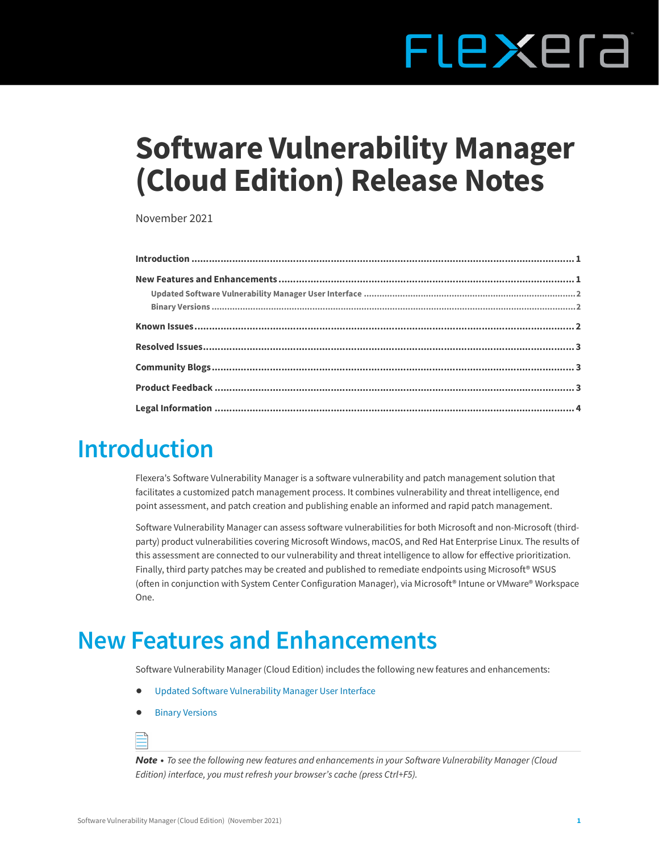# FLEXEra

## **Software Vulnerability Manager (Cloud Edition) Release Notes**

November 2021

#### <span id="page-0-0"></span>**Introduction**

Flexera's Software Vulnerability Manager is a software vulnerability and patch management solution that facilitates a customized patch management process. It combines vulnerability and threat intelligence, end point assessment, and patch creation and publishing enable an informed and rapid patch management.

Software Vulnerability Manager can assess software vulnerabilities for both Microsoft and non-Microsoft (thirdparty) product vulnerabilities covering Microsoft Windows, macOS, and Red Hat Enterprise Linux. The results of this assessment are connected to our vulnerability and threat intelligence to allow for effective prioritization. Finally, third party patches may be created and published to remediate endpoints using Microsoft<sup>®</sup> WSUS (often in conjunction with System Center Configuration Manager), via Microsoft® Intune or VMware® Workspace One.

#### <span id="page-0-1"></span>**New Features and Enhancements**

Software Vulnerability Manager (Cloud Edition) includes the following new features and enhancements:

- **•** [Updated Software Vulnerability Manager User Interface](#page-1-0)
- **•** [Binary Versions](#page-1-1)



*Note • To see the following new features and enhancements in your Software Vulnerability Manager (Cloud Edition) interface, you must refresh your browser's cache (press Ctrl+F5).*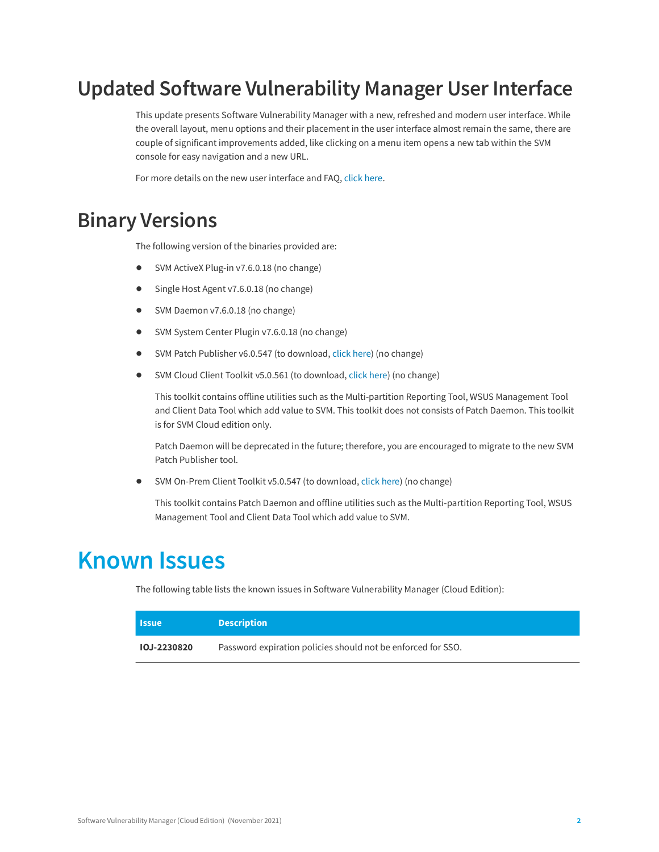#### <span id="page-1-0"></span>**Updated Software Vulnerability Manager User Interface**

This update presents Software Vulnerability Manager with a new, refreshed and modern user interface. While the overall layout, menu options and their placement in the user interface almost remain the same, there are couple of significant improvements added, like clicking on a menu item opens a new tab within the SVM console for easy navigation and a new URL.

For more details on the new user interface and FAQ, [click here.](https://community.flexera.com/t5/Software-Vulnerability/SVM-User-Interface-FAQ/ba-p/215480)

#### <span id="page-1-1"></span>**Binary Versions**

The following version of the binaries provided are:

- **•** SVM ActiveX Plug-in v7.6.0.18 (no change)
- **•** Single Host Agent v7.6.0.18 (no change)
- **•** SVM Daemon v7.6.0.18 (no change)
- **•** SVM System Center Plugin v7.6.0.18 (no change)
- **•** SVM Patch Publisher v6.0.547 (to download, [click here\)](https://resources.flexera.com/tools/SVM/SVMPatchPublisher.msi) (no change)
- **•** SVM Cloud Client Toolkit v5.0.561 (to download, [click here\)](https://resources.flexera.com/tools/SVM/SVMClientToolkit.msi) (no change)

This toolkit contains offline utilities such as the Multi-partition Reporting Tool, WSUS Management Tool and Client Data Tool which add value to SVM. This toolkit does not consists of Patch Daemon. This toolkit is for SVM Cloud edition only.

Patch Daemon will be deprecated in the future; therefore, you are encouraged to migrate to the new SVM Patch Publisher tool.

**•** SVM On-Prem Client Toolkit v5.0.547 (to download, [click here\)](https://resources.flexera.com/tools/SVM/SVMClientToolkitInstall.msi) (no change)

This toolkit contains Patch Daemon and offline utilities such as the Multi-partition Reporting Tool, WSUS Management Tool and Client Data Tool which add value to SVM.

#### <span id="page-1-2"></span>**Known Issues**

The following table lists the known issues in Software Vulnerability Manager (Cloud Edition):

| <b>Issue</b>       | <b>Description</b>                                           |
|--------------------|--------------------------------------------------------------|
| <b>IOJ-2230820</b> | Password expiration policies should not be enforced for SSO. |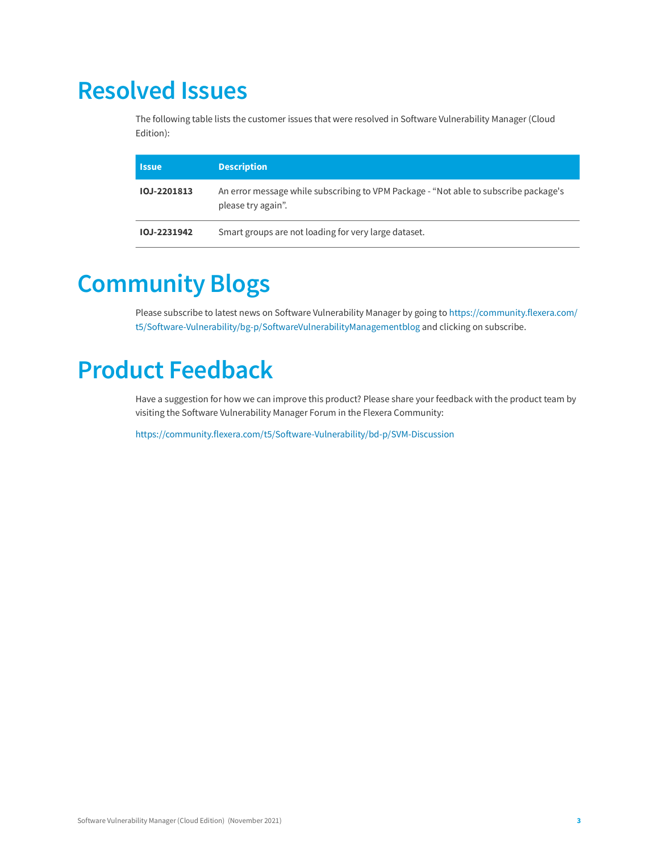#### <span id="page-2-0"></span>**Resolved Issues**

The following table lists the customer issues that were resolved in Software Vulnerability Manager (Cloud Edition):

| <b>Issue</b> | <b>Description</b>                                                                                         |
|--------------|------------------------------------------------------------------------------------------------------------|
| IOJ-2201813  | An error message while subscribing to VPM Package - "Not able to subscribe package's<br>please try again". |
| IOJ-2231942  | Smart groups are not loading for very large dataset.                                                       |

### <span id="page-2-1"></span>**Community Blogs**

Please subscribe to latest news on Software Vulnerability Manager by going to [https://community.flexera.com/](https://community.flexera.com/t5/Software-Vulnerability/bg-p/SoftwareVulnerabilityManagementblog) [t5/Software-Vulnerability/bg-p/SoftwareVulnerabilityManagementblog](https://community.flexera.com/t5/Software-Vulnerability/bg-p/SoftwareVulnerabilityManagementblog) and clicking on subscribe.

### <span id="page-2-2"></span>**Product Feedback**

Have a suggestion for how we can improve this product? Please share your feedback with the product team by visiting the Software Vulnerability Manager Forum in the Flexera Community:

<https://community.flexera.com/t5/Software-Vulnerability/bd-p/SVM-Discussion>